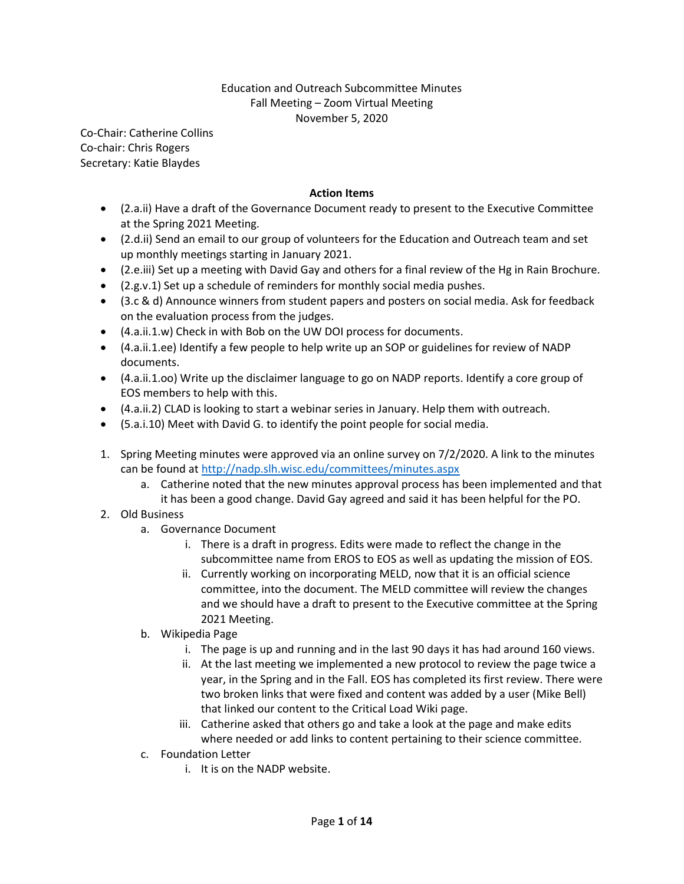## Education and Outreach Subcommittee Minutes Fall Meeting – Zoom Virtual Meeting November 5, 2020

Co-Chair: Catherine Collins Co-chair: Chris Rogers Secretary: Katie Blaydes

## Action Items

- (2.a.ii) Have a draft of the Governance Document ready to present to the Executive Committee at the Spring 2021 Meeting.
- (2.d.ii) Send an email to our group of volunteers for the Education and Outreach team and set up monthly meetings starting in January 2021.
- (2.e.iii) Set up a meeting with David Gay and others for a final review of the Hg in Rain Brochure.
- (2.g.v.1) Set up a schedule of reminders for monthly social media pushes.
- (3.c & d) Announce winners from student papers and posters on social media. Ask for feedback on the evaluation process from the judges.
- (4.a.ii.1.w) Check in with Bob on the UW DOI process for documents.
- (4.a.ii.1.ee) Identify a few people to help write up an SOP or guidelines for review of NADP documents.
- (4.a.ii.1.oo) Write up the disclaimer language to go on NADP reports. Identify a core group of EOS members to help with this.
- (4.a.ii.2) CLAD is looking to start a webinar series in January. Help them with outreach.
- (5.a.i.10) Meet with David G. to identify the point people for social media.
- 1. Spring Meeting minutes were approved via an online survey on 7/2/2020. A link to the minutes can be found at http://nadp.slh.wisc.edu/committees/minutes.aspx
	- a. Catherine noted that the new minutes approval process has been implemented and that it has been a good change. David Gay agreed and said it has been helpful for the PO.
- 2. Old Business
	- a. Governance Document
		- i. There is a draft in progress. Edits were made to reflect the change in the subcommittee name from EROS to EOS as well as updating the mission of EOS.
		- ii. Currently working on incorporating MELD, now that it is an official science committee, into the document. The MELD committee will review the changes and we should have a draft to present to the Executive committee at the Spring 2021 Meeting.
	- b. Wikipedia Page
		- i. The page is up and running and in the last 90 days it has had around 160 views.
		- ii. At the last meeting we implemented a new protocol to review the page twice a year, in the Spring and in the Fall. EOS has completed its first review. There were two broken links that were fixed and content was added by a user (Mike Bell) that linked our content to the Critical Load Wiki page.
		- iii. Catherine asked that others go and take a look at the page and make edits where needed or add links to content pertaining to their science committee.
	- c. Foundation Letter
		- i. It is on the NADP website.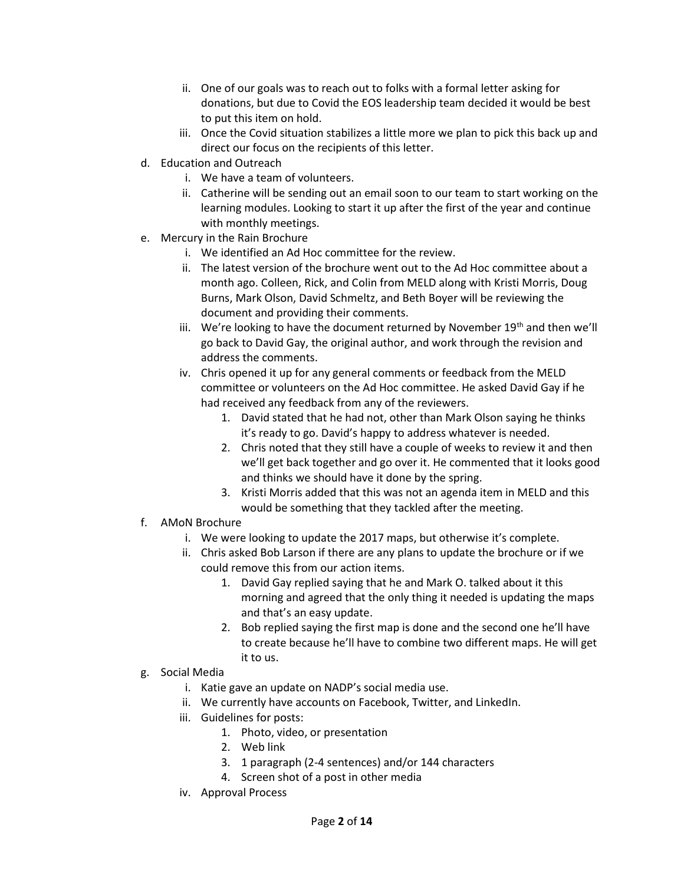- ii. One of our goals was to reach out to folks with a formal letter asking for donations, but due to Covid the EOS leadership team decided it would be best to put this item on hold.
- iii. Once the Covid situation stabilizes a little more we plan to pick this back up and direct our focus on the recipients of this letter.
- d. Education and Outreach
	- i. We have a team of volunteers.
	- ii. Catherine will be sending out an email soon to our team to start working on the learning modules. Looking to start it up after the first of the year and continue with monthly meetings.
- e. Mercury in the Rain Brochure
	- i. We identified an Ad Hoc committee for the review.
	- ii. The latest version of the brochure went out to the Ad Hoc committee about a month ago. Colleen, Rick, and Colin from MELD along with Kristi Morris, Doug Burns, Mark Olson, David Schmeltz, and Beth Boyer will be reviewing the document and providing their comments.
	- iii. We're looking to have the document returned by November  $19<sup>th</sup>$  and then we'll go back to David Gay, the original author, and work through the revision and address the comments.
	- iv. Chris opened it up for any general comments or feedback from the MELD committee or volunteers on the Ad Hoc committee. He asked David Gay if he had received any feedback from any of the reviewers.
		- 1. David stated that he had not, other than Mark Olson saying he thinks it's ready to go. David's happy to address whatever is needed.
		- 2. Chris noted that they still have a couple of weeks to review it and then we'll get back together and go over it. He commented that it looks good and thinks we should have it done by the spring.
		- 3. Kristi Morris added that this was not an agenda item in MELD and this would be something that they tackled after the meeting.
- f. AMoN Brochure
	- i. We were looking to update the 2017 maps, but otherwise it's complete.
	- ii. Chris asked Bob Larson if there are any plans to update the brochure or if we could remove this from our action items.
		- 1. David Gay replied saying that he and Mark O. talked about it this morning and agreed that the only thing it needed is updating the maps and that's an easy update.
		- 2. Bob replied saying the first map is done and the second one he'll have to create because he'll have to combine two different maps. He will get it to us.
- g. Social Media
	- i. Katie gave an update on NADP's social media use.
	- ii. We currently have accounts on Facebook, Twitter, and LinkedIn.
	- iii. Guidelines for posts:
		- 1. Photo, video, or presentation
			- 2. Web link
			- 3. 1 paragraph (2-4 sentences) and/or 144 characters
			- 4. Screen shot of a post in other media
	- iv. Approval Process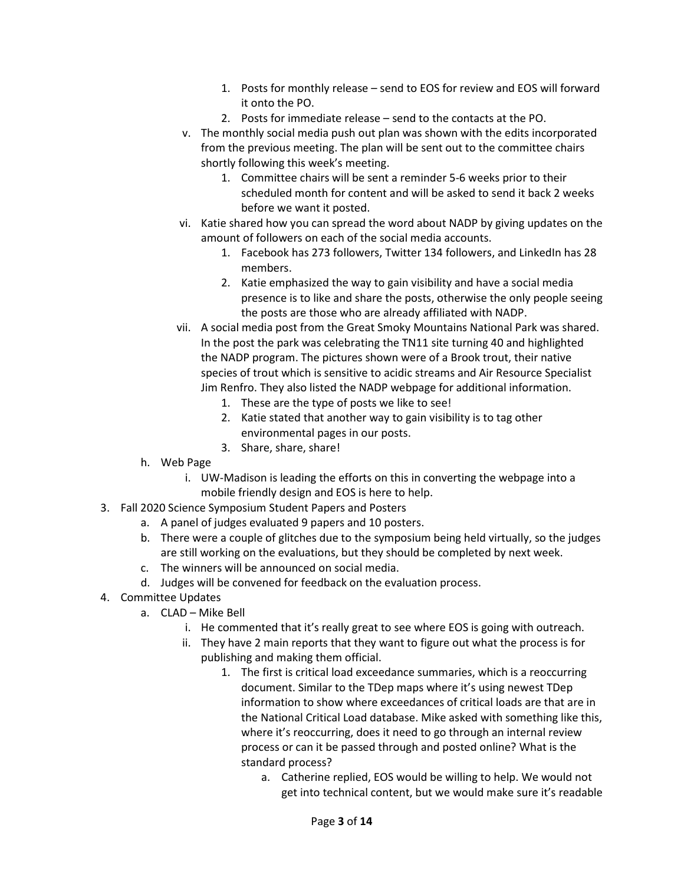- 1. Posts for monthly release send to EOS for review and EOS will forward it onto the PO.
- 2. Posts for immediate release send to the contacts at the PO.
- v. The monthly social media push out plan was shown with the edits incorporated from the previous meeting. The plan will be sent out to the committee chairs shortly following this week's meeting.
	- 1. Committee chairs will be sent a reminder 5-6 weeks prior to their scheduled month for content and will be asked to send it back 2 weeks before we want it posted.
- vi. Katie shared how you can spread the word about NADP by giving updates on the amount of followers on each of the social media accounts.
	- 1. Facebook has 273 followers, Twitter 134 followers, and LinkedIn has 28 members.
	- 2. Katie emphasized the way to gain visibility and have a social media presence is to like and share the posts, otherwise the only people seeing the posts are those who are already affiliated with NADP.
- vii. A social media post from the Great Smoky Mountains National Park was shared. In the post the park was celebrating the TN11 site turning 40 and highlighted the NADP program. The pictures shown were of a Brook trout, their native species of trout which is sensitive to acidic streams and Air Resource Specialist Jim Renfro. They also listed the NADP webpage for additional information.
	- 1. These are the type of posts we like to see!
	- 2. Katie stated that another way to gain visibility is to tag other environmental pages in our posts.
	- 3. Share, share, share!
- h. Web Page
	- i. UW-Madison is leading the efforts on this in converting the webpage into a mobile friendly design and EOS is here to help.
- 3. Fall 2020 Science Symposium Student Papers and Posters
	- a. A panel of judges evaluated 9 papers and 10 posters.
	- b. There were a couple of glitches due to the symposium being held virtually, so the judges are still working on the evaluations, but they should be completed by next week.
	- c. The winners will be announced on social media.
	- d. Judges will be convened for feedback on the evaluation process.
- 4. Committee Updates
	- a. CLAD Mike Bell
		- i. He commented that it's really great to see where EOS is going with outreach.
		- ii. They have 2 main reports that they want to figure out what the process is for publishing and making them official.
			- 1. The first is critical load exceedance summaries, which is a reoccurring document. Similar to the TDep maps where it's using newest TDep information to show where exceedances of critical loads are that are in the National Critical Load database. Mike asked with something like this, where it's reoccurring, does it need to go through an internal review process or can it be passed through and posted online? What is the standard process?
				- a. Catherine replied, EOS would be willing to help. We would not get into technical content, but we would make sure it's readable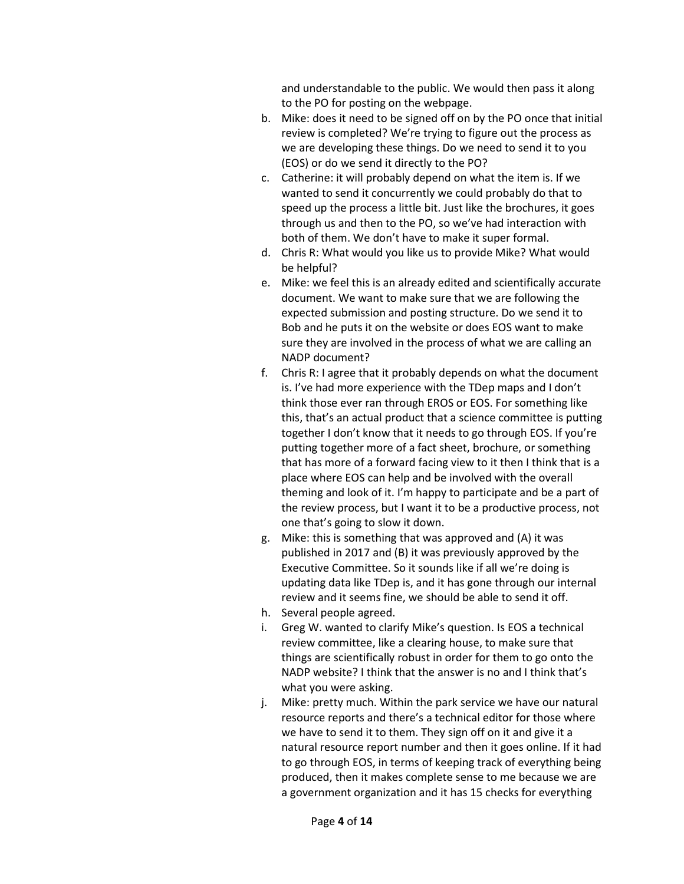and understandable to the public. We would then pass it along to the PO for posting on the webpage.

- b. Mike: does it need to be signed off on by the PO once that initial review is completed? We're trying to figure out the process as we are developing these things. Do we need to send it to you (EOS) or do we send it directly to the PO?
- c. Catherine: it will probably depend on what the item is. If we wanted to send it concurrently we could probably do that to speed up the process a little bit. Just like the brochures, it goes through us and then to the PO, so we've had interaction with both of them. We don't have to make it super formal.
- d. Chris R: What would you like us to provide Mike? What would be helpful?
- e. Mike: we feel this is an already edited and scientifically accurate document. We want to make sure that we are following the expected submission and posting structure. Do we send it to Bob and he puts it on the website or does EOS want to make sure they are involved in the process of what we are calling an NADP document?
- f. Chris R: I agree that it probably depends on what the document is. I've had more experience with the TDep maps and I don't think those ever ran through EROS or EOS. For something like this, that's an actual product that a science committee is putting together I don't know that it needs to go through EOS. If you're putting together more of a fact sheet, brochure, or something that has more of a forward facing view to it then I think that is a place where EOS can help and be involved with the overall theming and look of it. I'm happy to participate and be a part of the review process, but I want it to be a productive process, not one that's going to slow it down.
- g. Mike: this is something that was approved and (A) it was published in 2017 and (B) it was previously approved by the Executive Committee. So it sounds like if all we're doing is updating data like TDep is, and it has gone through our internal review and it seems fine, we should be able to send it off.
- h. Several people agreed.
- i. Greg W. wanted to clarify Mike's question. Is EOS a technical review committee, like a clearing house, to make sure that things are scientifically robust in order for them to go onto the NADP website? I think that the answer is no and I think that's what you were asking.
- j. Mike: pretty much. Within the park service we have our natural resource reports and there's a technical editor for those where we have to send it to them. They sign off on it and give it a natural resource report number and then it goes online. If it had to go through EOS, in terms of keeping track of everything being produced, then it makes complete sense to me because we are a government organization and it has 15 checks for everything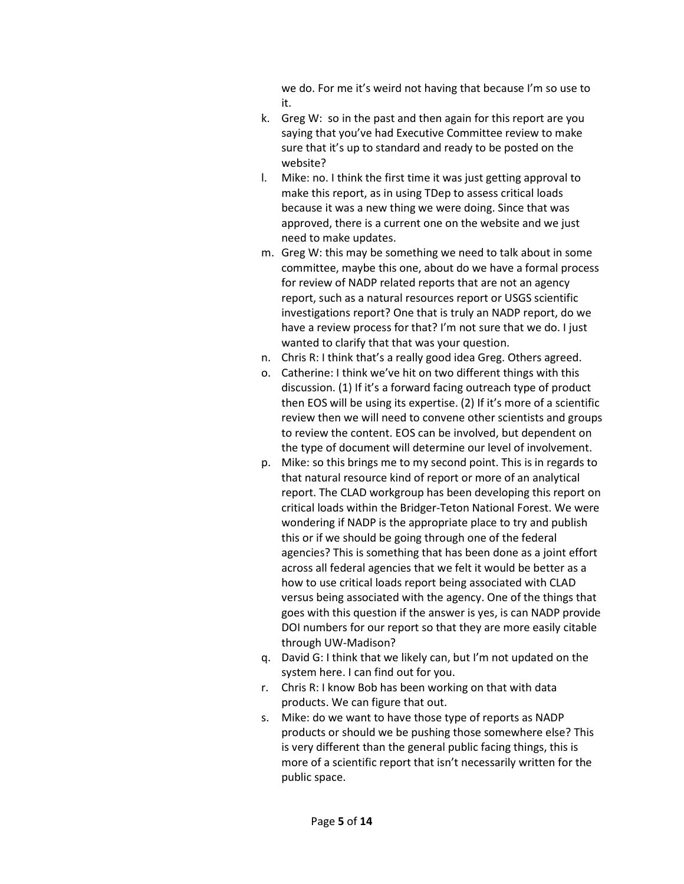we do. For me it's weird not having that because I'm so use to it.

- k. Greg W: so in the past and then again for this report are you saying that you've had Executive Committee review to make sure that it's up to standard and ready to be posted on the website?
- l. Mike: no. I think the first time it was just getting approval to make this report, as in using TDep to assess critical loads because it was a new thing we were doing. Since that was approved, there is a current one on the website and we just need to make updates.
- m. Greg W: this may be something we need to talk about in some committee, maybe this one, about do we have a formal process for review of NADP related reports that are not an agency report, such as a natural resources report or USGS scientific investigations report? One that is truly an NADP report, do we have a review process for that? I'm not sure that we do. I just wanted to clarify that that was your question.
- n. Chris R: I think that's a really good idea Greg. Others agreed.
- o. Catherine: I think we've hit on two different things with this discussion. (1) If it's a forward facing outreach type of product then EOS will be using its expertise. (2) If it's more of a scientific review then we will need to convene other scientists and groups to review the content. EOS can be involved, but dependent on the type of document will determine our level of involvement.
- p. Mike: so this brings me to my second point. This is in regards to that natural resource kind of report or more of an analytical report. The CLAD workgroup has been developing this report on critical loads within the Bridger-Teton National Forest. We were wondering if NADP is the appropriate place to try and publish this or if we should be going through one of the federal agencies? This is something that has been done as a joint effort across all federal agencies that we felt it would be better as a how to use critical loads report being associated with CLAD versus being associated with the agency. One of the things that goes with this question if the answer is yes, is can NADP provide DOI numbers for our report so that they are more easily citable through UW-Madison?
- q. David G: I think that we likely can, but I'm not updated on the system here. I can find out for you.
- r. Chris R: I know Bob has been working on that with data products. We can figure that out.
- s. Mike: do we want to have those type of reports as NADP products or should we be pushing those somewhere else? This is very different than the general public facing things, this is more of a scientific report that isn't necessarily written for the public space.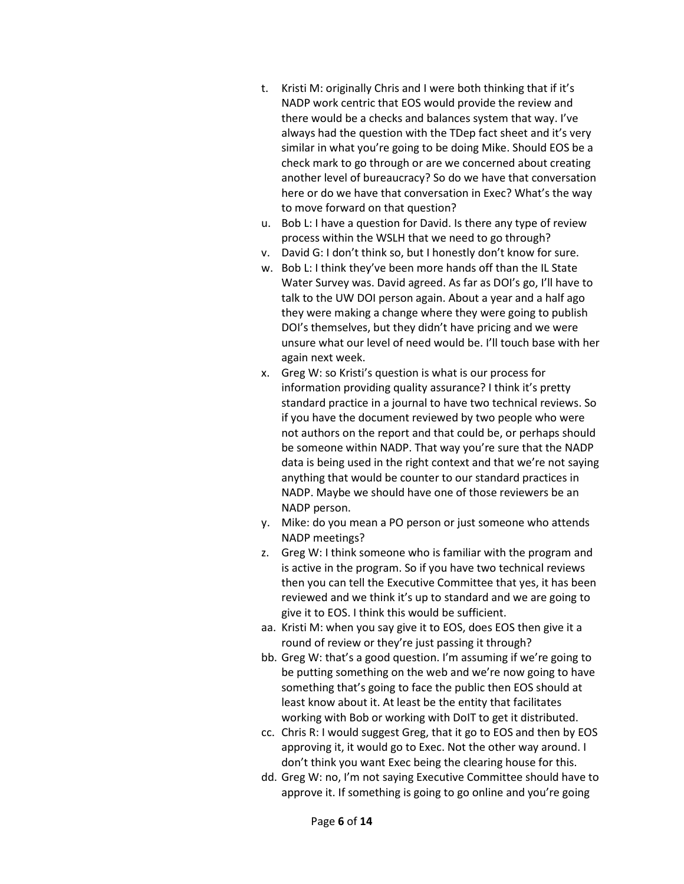- t. Kristi M: originally Chris and I were both thinking that if it's NADP work centric that EOS would provide the review and there would be a checks and balances system that way. I've always had the question with the TDep fact sheet and it's very similar in what you're going to be doing Mike. Should EOS be a check mark to go through or are we concerned about creating another level of bureaucracy? So do we have that conversation here or do we have that conversation in Exec? What's the way to move forward on that question?
- u. Bob L: I have a question for David. Is there any type of review process within the WSLH that we need to go through?
- v. David G: I don't think so, but I honestly don't know for sure.
- w. Bob L: I think they've been more hands off than the IL State Water Survey was. David agreed. As far as DOI's go, I'll have to talk to the UW DOI person again. About a year and a half ago they were making a change where they were going to publish DOI's themselves, but they didn't have pricing and we were unsure what our level of need would be. I'll touch base with her again next week.
- x. Greg W: so Kristi's question is what is our process for information providing quality assurance? I think it's pretty standard practice in a journal to have two technical reviews. So if you have the document reviewed by two people who were not authors on the report and that could be, or perhaps should be someone within NADP. That way you're sure that the NADP data is being used in the right context and that we're not saying anything that would be counter to our standard practices in NADP. Maybe we should have one of those reviewers be an NADP person.
- y. Mike: do you mean a PO person or just someone who attends NADP meetings?
- z. Greg W: I think someone who is familiar with the program and is active in the program. So if you have two technical reviews then you can tell the Executive Committee that yes, it has been reviewed and we think it's up to standard and we are going to give it to EOS. I think this would be sufficient.
- aa. Kristi M: when you say give it to EOS, does EOS then give it a round of review or they're just passing it through?
- bb. Greg W: that's a good question. I'm assuming if we're going to be putting something on the web and we're now going to have something that's going to face the public then EOS should at least know about it. At least be the entity that facilitates working with Bob or working with DoIT to get it distributed.
- cc. Chris R: I would suggest Greg, that it go to EOS and then by EOS approving it, it would go to Exec. Not the other way around. I don't think you want Exec being the clearing house for this.
- dd. Greg W: no, I'm not saying Executive Committee should have to approve it. If something is going to go online and you're going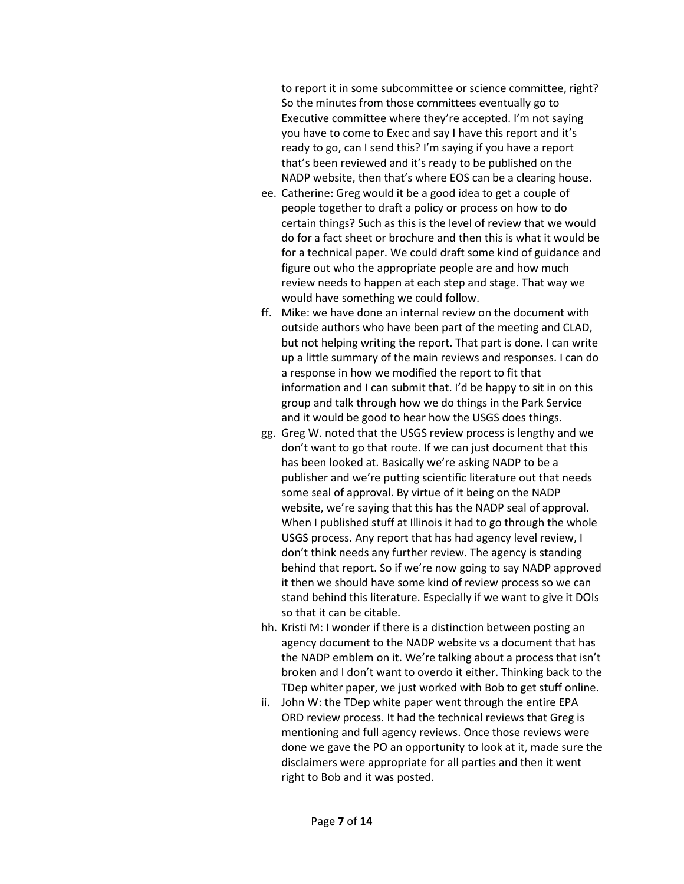to report it in some subcommittee or science committee, right? So the minutes from those committees eventually go to Executive committee where they're accepted. I'm not saying you have to come to Exec and say I have this report and it's ready to go, can I send this? I'm saying if you have a report that's been reviewed and it's ready to be published on the NADP website, then that's where EOS can be a clearing house.

- ee. Catherine: Greg would it be a good idea to get a couple of people together to draft a policy or process on how to do certain things? Such as this is the level of review that we would do for a fact sheet or brochure and then this is what it would be for a technical paper. We could draft some kind of guidance and figure out who the appropriate people are and how much review needs to happen at each step and stage. That way we would have something we could follow.
- ff. Mike: we have done an internal review on the document with outside authors who have been part of the meeting and CLAD, but not helping writing the report. That part is done. I can write up a little summary of the main reviews and responses. I can do a response in how we modified the report to fit that information and I can submit that. I'd be happy to sit in on this group and talk through how we do things in the Park Service and it would be good to hear how the USGS does things.
- gg. Greg W. noted that the USGS review process is lengthy and we don't want to go that route. If we can just document that this has been looked at. Basically we're asking NADP to be a publisher and we're putting scientific literature out that needs some seal of approval. By virtue of it being on the NADP website, we're saying that this has the NADP seal of approval. When I published stuff at Illinois it had to go through the whole USGS process. Any report that has had agency level review, I don't think needs any further review. The agency is standing behind that report. So if we're now going to say NADP approved it then we should have some kind of review process so we can stand behind this literature. Especially if we want to give it DOIs so that it can be citable.
- hh. Kristi M: I wonder if there is a distinction between posting an agency document to the NADP website vs a document that has the NADP emblem on it. We're talking about a process that isn't broken and I don't want to overdo it either. Thinking back to the TDep whiter paper, we just worked with Bob to get stuff online.
- ii. John W: the TDep white paper went through the entire EPA ORD review process. It had the technical reviews that Greg is mentioning and full agency reviews. Once those reviews were done we gave the PO an opportunity to look at it, made sure the disclaimers were appropriate for all parties and then it went right to Bob and it was posted.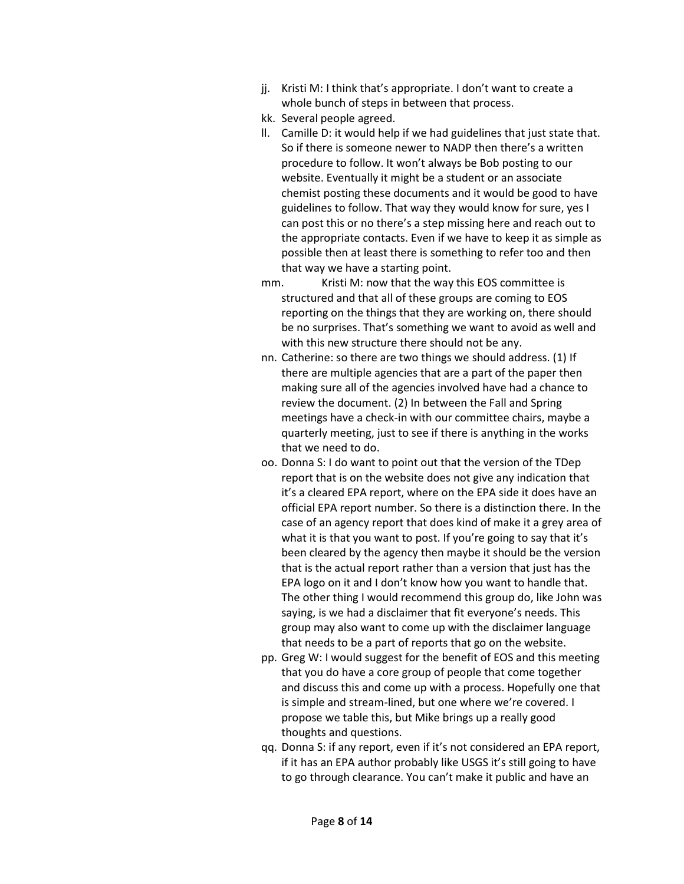- jj. Kristi M: I think that's appropriate. I don't want to create a whole bunch of steps in between that process.
- kk. Several people agreed.
- ll. Camille D: it would help if we had guidelines that just state that. So if there is someone newer to NADP then there's a written procedure to follow. It won't always be Bob posting to our website. Eventually it might be a student or an associate chemist posting these documents and it would be good to have guidelines to follow. That way they would know for sure, yes I can post this or no there's a step missing here and reach out to the appropriate contacts. Even if we have to keep it as simple as possible then at least there is something to refer too and then that way we have a starting point.
- mm. Kristi M: now that the way this EOS committee is structured and that all of these groups are coming to EOS reporting on the things that they are working on, there should be no surprises. That's something we want to avoid as well and with this new structure there should not be any.
- nn. Catherine: so there are two things we should address. (1) If there are multiple agencies that are a part of the paper then making sure all of the agencies involved have had a chance to review the document. (2) In between the Fall and Spring meetings have a check-in with our committee chairs, maybe a quarterly meeting, just to see if there is anything in the works that we need to do.
- oo. Donna S: I do want to point out that the version of the TDep report that is on the website does not give any indication that it's a cleared EPA report, where on the EPA side it does have an official EPA report number. So there is a distinction there. In the case of an agency report that does kind of make it a grey area of what it is that you want to post. If you're going to say that it's been cleared by the agency then maybe it should be the version that is the actual report rather than a version that just has the EPA logo on it and I don't know how you want to handle that. The other thing I would recommend this group do, like John was saying, is we had a disclaimer that fit everyone's needs. This group may also want to come up with the disclaimer language that needs to be a part of reports that go on the website.
- pp. Greg W: I would suggest for the benefit of EOS and this meeting that you do have a core group of people that come together and discuss this and come up with a process. Hopefully one that is simple and stream-lined, but one where we're covered. I propose we table this, but Mike brings up a really good thoughts and questions.
- qq. Donna S: if any report, even if it's not considered an EPA report, if it has an EPA author probably like USGS it's still going to have to go through clearance. You can't make it public and have an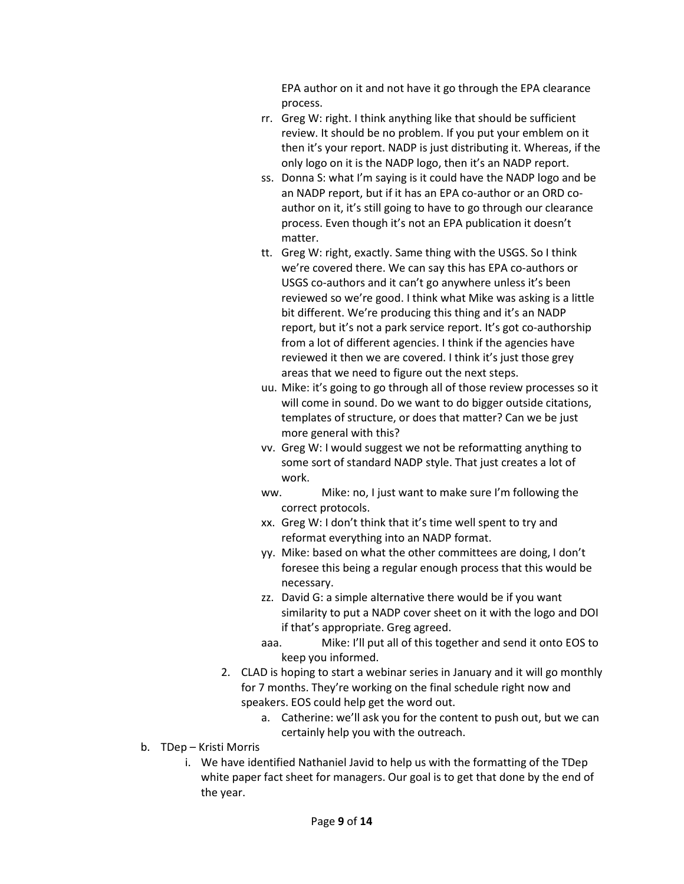EPA author on it and not have it go through the EPA clearance process.

- rr. Greg W: right. I think anything like that should be sufficient review. It should be no problem. If you put your emblem on it then it's your report. NADP is just distributing it. Whereas, if the only logo on it is the NADP logo, then it's an NADP report.
- ss. Donna S: what I'm saying is it could have the NADP logo and be an NADP report, but if it has an EPA co-author or an ORD coauthor on it, it's still going to have to go through our clearance process. Even though it's not an EPA publication it doesn't matter.
- tt. Greg W: right, exactly. Same thing with the USGS. So I think we're covered there. We can say this has EPA co-authors or USGS co-authors and it can't go anywhere unless it's been reviewed so we're good. I think what Mike was asking is a little bit different. We're producing this thing and it's an NADP report, but it's not a park service report. It's got co-authorship from a lot of different agencies. I think if the agencies have reviewed it then we are covered. I think it's just those grey areas that we need to figure out the next steps.
- uu. Mike: it's going to go through all of those review processes so it will come in sound. Do we want to do bigger outside citations, templates of structure, or does that matter? Can we be just more general with this?
- vv. Greg W: I would suggest we not be reformatting anything to some sort of standard NADP style. That just creates a lot of work.
- ww. Mike: no, I just want to make sure I'm following the correct protocols.
- xx. Greg W: I don't think that it's time well spent to try and reformat everything into an NADP format.
- yy. Mike: based on what the other committees are doing, I don't foresee this being a regular enough process that this would be necessary.
- zz. David G: a simple alternative there would be if you want similarity to put a NADP cover sheet on it with the logo and DOI if that's appropriate. Greg agreed.
- aaa. Mike: I'll put all of this together and send it onto EOS to keep you informed.
- 2. CLAD is hoping to start a webinar series in January and it will go monthly for 7 months. They're working on the final schedule right now and speakers. EOS could help get the word out.
	- a. Catherine: we'll ask you for the content to push out, but we can certainly help you with the outreach.
- b. TDep Kristi Morris
	- i. We have identified Nathaniel Javid to help us with the formatting of the TDep white paper fact sheet for managers. Our goal is to get that done by the end of the year.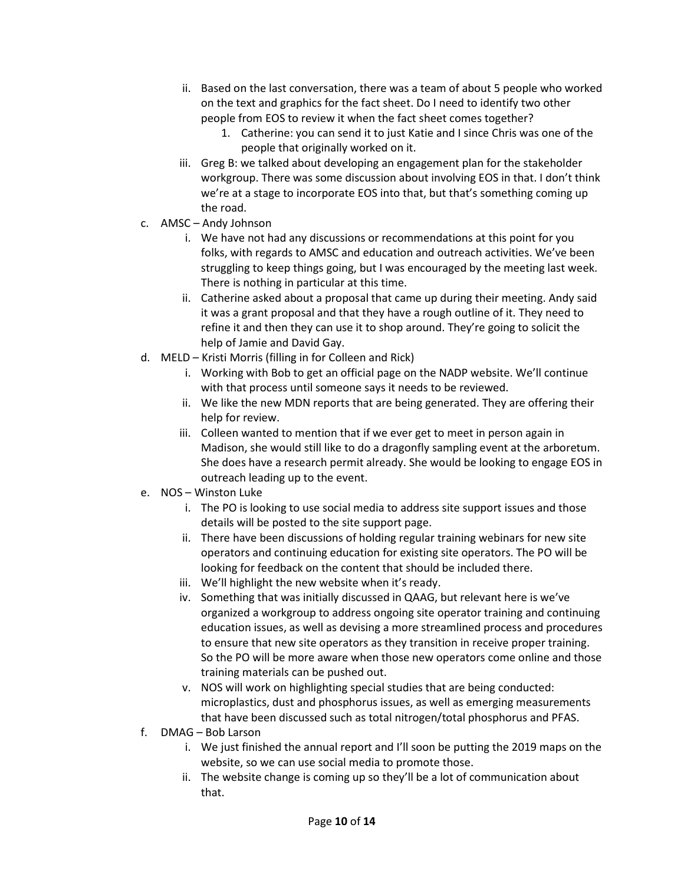- ii. Based on the last conversation, there was a team of about 5 people who worked on the text and graphics for the fact sheet. Do I need to identify two other people from EOS to review it when the fact sheet comes together?
	- 1. Catherine: you can send it to just Katie and I since Chris was one of the people that originally worked on it.
- iii. Greg B: we talked about developing an engagement plan for the stakeholder workgroup. There was some discussion about involving EOS in that. I don't think we're at a stage to incorporate EOS into that, but that's something coming up the road.
- c. AMSC Andy Johnson
	- i. We have not had any discussions or recommendations at this point for you folks, with regards to AMSC and education and outreach activities. We've been struggling to keep things going, but I was encouraged by the meeting last week. There is nothing in particular at this time.
	- ii. Catherine asked about a proposal that came up during their meeting. Andy said it was a grant proposal and that they have a rough outline of it. They need to refine it and then they can use it to shop around. They're going to solicit the help of Jamie and David Gay.
- d. MELD Kristi Morris (filling in for Colleen and Rick)
	- i. Working with Bob to get an official page on the NADP website. We'll continue with that process until someone says it needs to be reviewed.
	- ii. We like the new MDN reports that are being generated. They are offering their help for review.
	- iii. Colleen wanted to mention that if we ever get to meet in person again in Madison, she would still like to do a dragonfly sampling event at the arboretum. She does have a research permit already. She would be looking to engage EOS in outreach leading up to the event.
- e. NOS Winston Luke
	- i. The PO is looking to use social media to address site support issues and those details will be posted to the site support page.
	- ii. There have been discussions of holding regular training webinars for new site operators and continuing education for existing site operators. The PO will be looking for feedback on the content that should be included there.
	- iii. We'll highlight the new website when it's ready.
	- iv. Something that was initially discussed in QAAG, but relevant here is we've organized a workgroup to address ongoing site operator training and continuing education issues, as well as devising a more streamlined process and procedures to ensure that new site operators as they transition in receive proper training. So the PO will be more aware when those new operators come online and those training materials can be pushed out.
	- v. NOS will work on highlighting special studies that are being conducted: microplastics, dust and phosphorus issues, as well as emerging measurements that have been discussed such as total nitrogen/total phosphorus and PFAS.
- f. DMAG Bob Larson
	- i. We just finished the annual report and I'll soon be putting the 2019 maps on the website, so we can use social media to promote those.
	- ii. The website change is coming up so they'll be a lot of communication about that.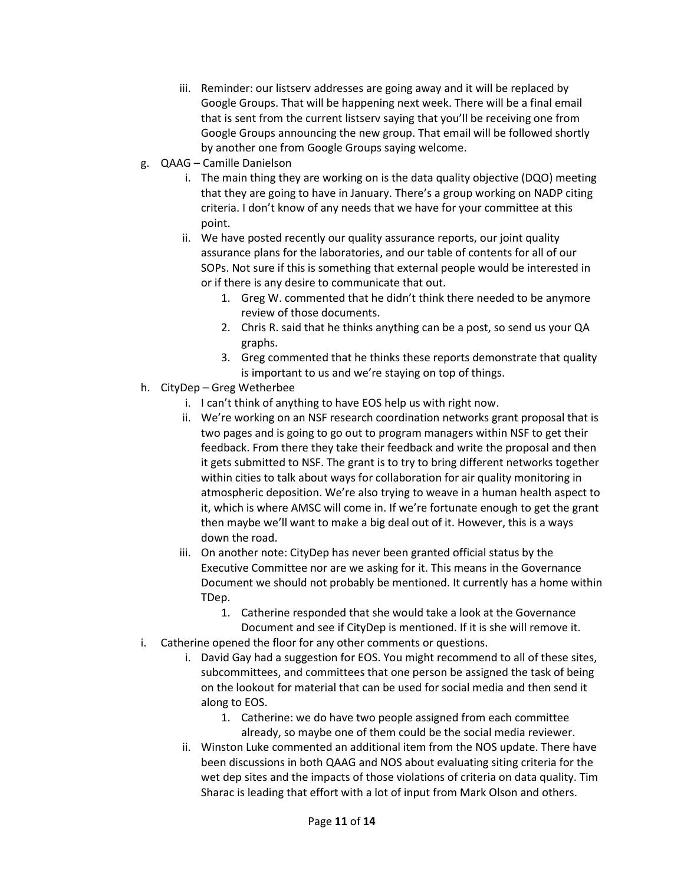- iii. Reminder: our listserv addresses are going away and it will be replaced by Google Groups. That will be happening next week. There will be a final email that is sent from the current listserv saying that you'll be receiving one from Google Groups announcing the new group. That email will be followed shortly by another one from Google Groups saying welcome.
- g. QAAG Camille Danielson
	- i. The main thing they are working on is the data quality objective (DQO) meeting that they are going to have in January. There's a group working on NADP citing criteria. I don't know of any needs that we have for your committee at this point.
	- ii. We have posted recently our quality assurance reports, our joint quality assurance plans for the laboratories, and our table of contents for all of our SOPs. Not sure if this is something that external people would be interested in or if there is any desire to communicate that out.
		- 1. Greg W. commented that he didn't think there needed to be anymore review of those documents.
		- 2. Chris R. said that he thinks anything can be a post, so send us your QA graphs.
		- 3. Greg commented that he thinks these reports demonstrate that quality is important to us and we're staying on top of things.
- h. CityDep Greg Wetherbee
	- i. I can't think of anything to have EOS help us with right now.
	- ii. We're working on an NSF research coordination networks grant proposal that is two pages and is going to go out to program managers within NSF to get their feedback. From there they take their feedback and write the proposal and then it gets submitted to NSF. The grant is to try to bring different networks together within cities to talk about ways for collaboration for air quality monitoring in atmospheric deposition. We're also trying to weave in a human health aspect to it, which is where AMSC will come in. If we're fortunate enough to get the grant then maybe we'll want to make a big deal out of it. However, this is a ways down the road.
	- iii. On another note: CityDep has never been granted official status by the Executive Committee nor are we asking for it. This means in the Governance Document we should not probably be mentioned. It currently has a home within TDep.
		- 1. Catherine responded that she would take a look at the Governance Document and see if CityDep is mentioned. If it is she will remove it.
- i. Catherine opened the floor for any other comments or questions.
	- i. David Gay had a suggestion for EOS. You might recommend to all of these sites, subcommittees, and committees that one person be assigned the task of being on the lookout for material that can be used for social media and then send it along to EOS.
		- 1. Catherine: we do have two people assigned from each committee already, so maybe one of them could be the social media reviewer.
	- ii. Winston Luke commented an additional item from the NOS update. There have been discussions in both QAAG and NOS about evaluating siting criteria for the wet dep sites and the impacts of those violations of criteria on data quality. Tim Sharac is leading that effort with a lot of input from Mark Olson and others.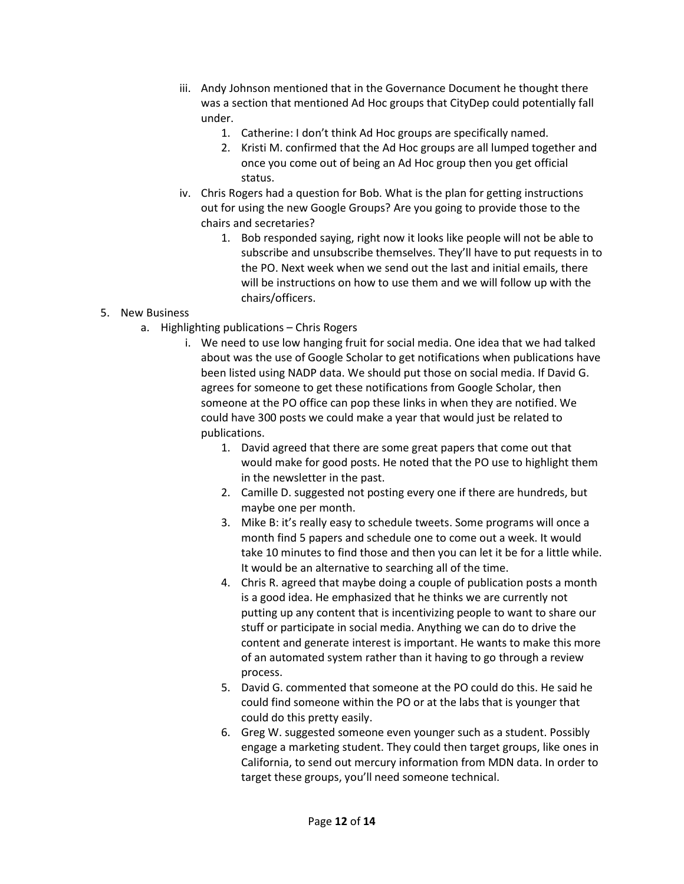- iii. Andy Johnson mentioned that in the Governance Document he thought there was a section that mentioned Ad Hoc groups that CityDep could potentially fall under.
	- 1. Catherine: I don't think Ad Hoc groups are specifically named.
	- 2. Kristi M. confirmed that the Ad Hoc groups are all lumped together and once you come out of being an Ad Hoc group then you get official status.
- iv. Chris Rogers had a question for Bob. What is the plan for getting instructions out for using the new Google Groups? Are you going to provide those to the chairs and secretaries?
	- 1. Bob responded saying, right now it looks like people will not be able to subscribe and unsubscribe themselves. They'll have to put requests in to the PO. Next week when we send out the last and initial emails, there will be instructions on how to use them and we will follow up with the chairs/officers.

## 5. New Business

- a. Highlighting publications Chris Rogers
	- i. We need to use low hanging fruit for social media. One idea that we had talked about was the use of Google Scholar to get notifications when publications have been listed using NADP data. We should put those on social media. If David G. agrees for someone to get these notifications from Google Scholar, then someone at the PO office can pop these links in when they are notified. We could have 300 posts we could make a year that would just be related to publications.
		- 1. David agreed that there are some great papers that come out that would make for good posts. He noted that the PO use to highlight them in the newsletter in the past.
		- 2. Camille D. suggested not posting every one if there are hundreds, but maybe one per month.
		- 3. Mike B: it's really easy to schedule tweets. Some programs will once a month find 5 papers and schedule one to come out a week. It would take 10 minutes to find those and then you can let it be for a little while. It would be an alternative to searching all of the time.
		- 4. Chris R. agreed that maybe doing a couple of publication posts a month is a good idea. He emphasized that he thinks we are currently not putting up any content that is incentivizing people to want to share our stuff or participate in social media. Anything we can do to drive the content and generate interest is important. He wants to make this more of an automated system rather than it having to go through a review process.
		- 5. David G. commented that someone at the PO could do this. He said he could find someone within the PO or at the labs that is younger that could do this pretty easily.
		- 6. Greg W. suggested someone even younger such as a student. Possibly engage a marketing student. They could then target groups, like ones in California, to send out mercury information from MDN data. In order to target these groups, you'll need someone technical.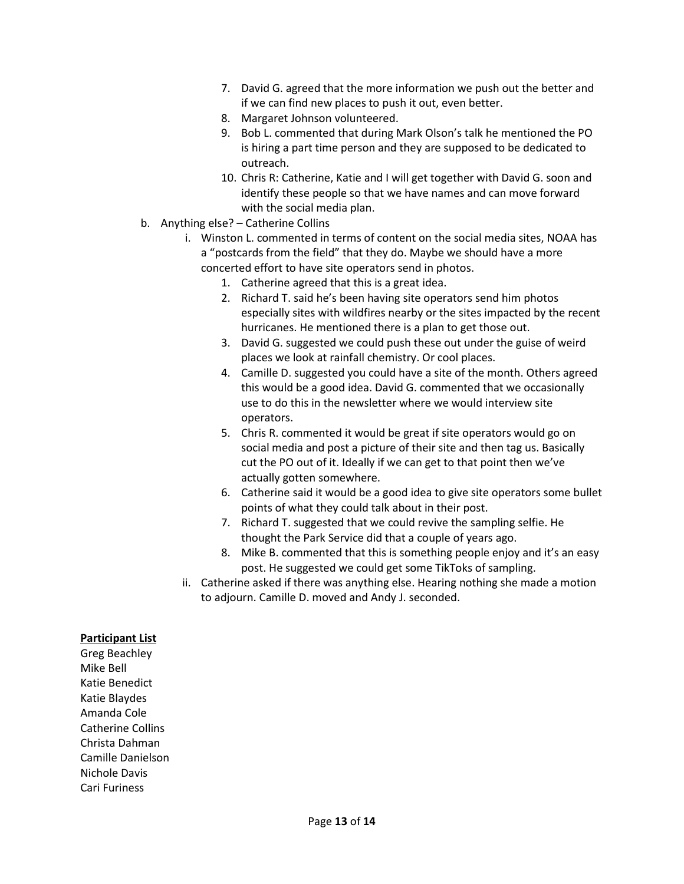- 7. David G. agreed that the more information we push out the better and if we can find new places to push it out, even better.
- 8. Margaret Johnson volunteered.
- 9. Bob L. commented that during Mark Olson's talk he mentioned the PO is hiring a part time person and they are supposed to be dedicated to outreach.
- 10. Chris R: Catherine, Katie and I will get together with David G. soon and identify these people so that we have names and can move forward with the social media plan.
- b. Anything else? Catherine Collins
	- i. Winston L. commented in terms of content on the social media sites, NOAA has a "postcards from the field" that they do. Maybe we should have a more concerted effort to have site operators send in photos.
		- 1. Catherine agreed that this is a great idea.
		- 2. Richard T. said he's been having site operators send him photos especially sites with wildfires nearby or the sites impacted by the recent hurricanes. He mentioned there is a plan to get those out.
		- 3. David G. suggested we could push these out under the guise of weird places we look at rainfall chemistry. Or cool places.
		- 4. Camille D. suggested you could have a site of the month. Others agreed this would be a good idea. David G. commented that we occasionally use to do this in the newsletter where we would interview site operators.
		- 5. Chris R. commented it would be great if site operators would go on social media and post a picture of their site and then tag us. Basically cut the PO out of it. Ideally if we can get to that point then we've actually gotten somewhere.
		- 6. Catherine said it would be a good idea to give site operators some bullet points of what they could talk about in their post.
		- 7. Richard T. suggested that we could revive the sampling selfie. He thought the Park Service did that a couple of years ago.
		- 8. Mike B. commented that this is something people enjoy and it's an easy post. He suggested we could get some TikToks of sampling.
	- ii. Catherine asked if there was anything else. Hearing nothing she made a motion to adjourn. Camille D. moved and Andy J. seconded.

## Participant List

Greg Beachley Mike Bell Katie Benedict Katie Blaydes Amanda Cole Catherine Collins Christa Dahman Camille Danielson Nichole Davis Cari Furiness